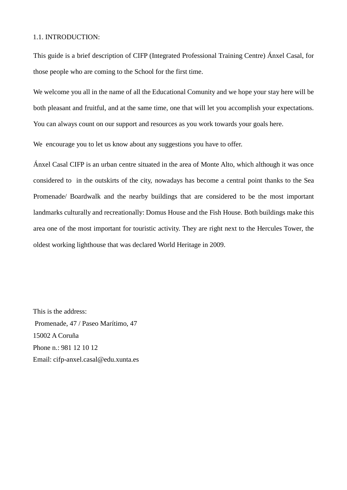### 1.1. INTRODUCTION:

This guide is a brief description of CIFP (Integrated Professional Training Centre) Ánxel Casal, for those people who are coming to the School for the first time.

We welcome you all in the name of all the Educational Comunity and we hope your stay here will be both pleasant and fruitful, and at the same time, one that will let you accomplish your expectations. You can always count on our support and resources as you work towards your goals here.

We encourage you to let us know about any suggestions you have to offer.

Ánxel Casal CIFP is an urban centre situated in the area of Monte Alto, which although it was once considered to in the outskirts of the city, nowadays has become a central point thanks to the Sea Promenade/ Boardwalk and the nearby buildings that are considered to be the most important landmarks culturally and recreationally: Domus House and the Fish House. Both buildings make this area one of the most important for touristic activity. They are right next to the Hercules Tower, the oldest working lighthouse that was declared World Heritage in 2009.

This is the address: Promenade, 47 / Paseo Marítimo, 47 15002 A Coruña Phone n.: 981 12 10 12 Email: cifp-anxel.casal@edu.xunta.es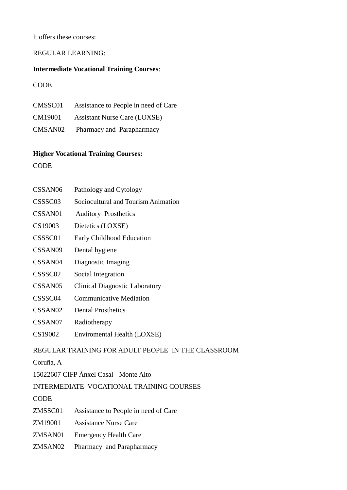### It offers these courses:

### REGULAR LEARNING:

### **Intermediate Vocational Training Courses**:

**CODE** 

| CMSSC01 | Assistance to People in need of Care |
|---------|--------------------------------------|
| CM19001 | <b>Assistant Nurse Care (LOXSE)</b>  |
| CMSAN02 | Pharmacy and Parapharmacy            |

### **Higher Vocational Training Courses:**

**CODE** 

| CSSAN <sub>06</sub>                                | Pathology and Cytology                |  |  |
|----------------------------------------------------|---------------------------------------|--|--|
| CSSSC <sub>03</sub>                                | Sociocultural and Tourism Animation   |  |  |
| CSSAN01                                            | <b>Auditory Prosthetics</b>           |  |  |
| CS19003                                            | Dietetics (LOXSE)                     |  |  |
| CSSSC01                                            | Early Childhood Education             |  |  |
| CSSAN <sub>09</sub>                                | Dental hygiene                        |  |  |
| CSSAN <sub>04</sub>                                | Diagnostic Imaging                    |  |  |
| CSSSC <sub>02</sub>                                | Social Integration                    |  |  |
| CSSAN <sub>05</sub>                                | <b>Clinical Diagnostic Laboratory</b> |  |  |
| CSSSC04                                            | <b>Communicative Mediation</b>        |  |  |
| CSSAN <sub>02</sub>                                | <b>Dental Prosthetics</b>             |  |  |
| CSSAN07                                            | Radiotherapy                          |  |  |
| CS19002                                            | Enviromental Health (LOXSE)           |  |  |
| REGULAR TRAINING FOR ADULT PEOPLE IN THE CLASSROOM |                                       |  |  |

Coruña, A

15022607 CIFP Ánxel Casal - Monte Alto

# INTERMEDIATE VOCATIONAL TRAINING COURSES

**CODE** 

ZMSSC01 Assistance to People in need of Care

ZM19001 Assistance Nurse Care

- ZMSAN01 Emergency Health Care
- ZMSAN02 Pharmacy and Parapharmacy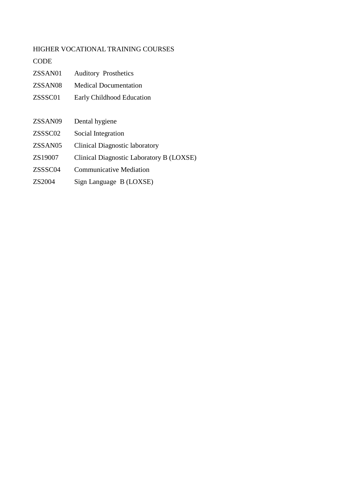## HIGHER VOCATIONAL TRAINING COURSES

### **CODE**

| ZSSAN01             | <b>Auditory Prosthetics</b>              |  |
|---------------------|------------------------------------------|--|
| ZSSAN <sub>08</sub> | <b>Medical Documentation</b>             |  |
| ZSSSC01             | <b>Early Childhood Education</b>         |  |
|                     |                                          |  |
| ZSSAN09             | Dental hygiene                           |  |
| ZSSSC02             | Social Integration                       |  |
| ZSSAN05             | Clinical Diagnostic laboratory           |  |
| ZS19007             | Clinical Diagnostic Laboratory B (LOXSE) |  |
| ZSSSC04             | <b>Communicative Mediation</b>           |  |
| ZS2004              | Sign Language B (LOXSE)                  |  |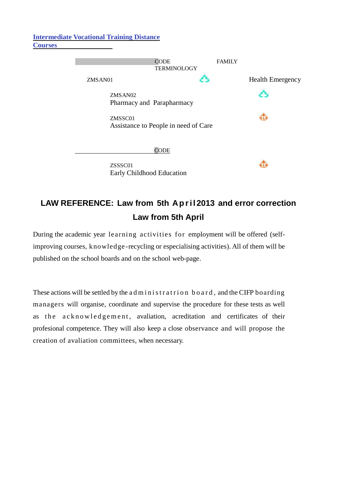### **Intermediate Vocational Training Distance Courses**



# **LAW REFERENCE: Law from 5th Ap r il 2013 and error correction Law from 5th April**

During the academic year learning activities for employment will be offered (selfimproving courses, knowledge -recycling or especialising activities). All of them will be published on the school boards and on the school web-page.

These actions will be settled by the a d m in is tratrion board, and the CIFP boarding managers will organise, coordinate and supervise the procedure for these tests as well as the acknowledgement, avaliation, acreditation and certificates of their profesional competence. They will also keep a close observance and will propose the creation of avaliation committees, when necessary.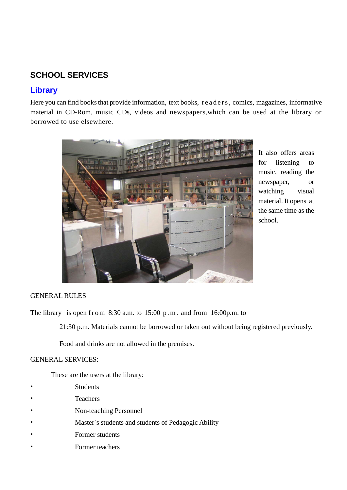# **SCHOOL SERVICES**

# **Library**

Here you can find books that provide information, text books, readers, comics, magazines, informative material in CD-Rom, music CDs, videos and newspapers,which can be used at the library or borrowed to use elsewhere.



It also offers areas for listening to music, reading the newspaper, or watching visual material. It opens at the same time as the school.

### GENERAL RULES

The library is open from  $8:30$  a.m. to  $15:00$  p.m. and from  $16:00$ p.m. to

21:30 p.m. Materials cannot be borrowed or taken out without being registered previously.

Food and drinks are not allowed in the premises.

### GENERAL SERVICES:

These are the users at the library:

- **Students**
- Teachers
- Non-teaching Personnel
- Master's students and students of Pedagogic Ability
- Former students
- Former teachers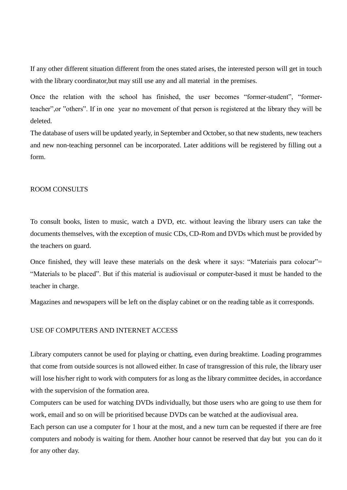If any other different situation different from the ones stated arises, the interested person will get in touch with the library coordinator,but may still use any and all material in the premises.

Once the relation with the school has finished, the user becomes "former-student", "formerteacher",or "others". If in one year no movement of that person is registered at the library they will be deleted.

The database of users will be updated yearly, in September and October, so that new students, new teachers and new non-teaching personnel can be incorporated. Later additions will be registered by filling out a form.

### ROOM CONSULTS

To consult books, listen to music, watch a DVD, etc. without leaving the library users can take the documents themselves, with the exception of music CDs, CD-Rom and DVDs which must be provided by the teachers on guard.

Once finished, they will leave these materials on the desk where it says: "Materiais para colocar"= "Materials to be placed". But if this material is audiovisual or computer-based it must be handed to the teacher in charge.

Magazines and newspapers will be left on the display cabinet or on the reading table as it corresponds.

#### USE OF COMPUTERS AND INTERNET ACCESS

Library computers cannot be used for playing or chatting, even during breaktime. Loading programmes that come from outside sources is not allowed either. In case of transgression of this rule, the library user will lose his/her right to work with computers for as long as the library committee decides, in accordance with the supervision of the formation area.

Computers can be used for watching DVDs individually, but those users who are going to use them for work, email and so on will be prioritised because DVDs can be watched at the audiovisual area.

Each person can use a computer for 1 hour at the most, and a new turn can be requested if there are free computers and nobody is waiting for them. Another hour cannot be reserved that day but you can do it for any other day.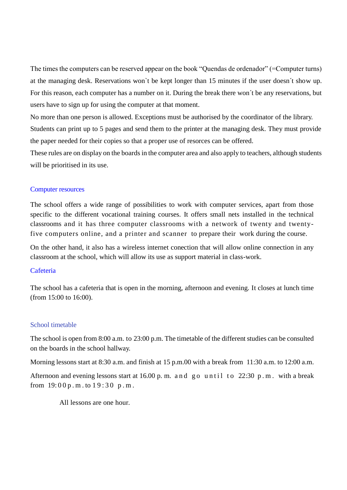The times the computers can be reserved appear on the book "Quendas de ordenador" (=Computer turns) at the managing desk. Reservations won`t be kept longer than 15 minutes if the user doesn´t show up. For this reason, each computer has a number on it. During the break there won´t be any reservations, but users have to sign up for using the computer at that moment.

No more than one person is allowed. Exceptions must be authorised by the coordinator of the library. Students can print up to 5 pages and send them to the printer at the managing desk. They must provide the paper needed for their copies so that a proper use of resorces can be offered.

These rules are on display on the boards in the computer area and also apply to teachers, although students will be prioritised in its use.

### Computer resources

The school offers a wide range of possibilities to work with computer services, apart from those specific to the different vocational training courses. It offers small nets installed in the technical classrooms and it has three computer classrooms with a network of twenty and twentyfive computers online, and a printer and scanner to prepare their work during the course.

On the other hand, it also has a wireless internet conection that will allow online connection in any classroom at the school, which will allow its use as support material in class-work.

#### **Cafeteria**

The school has a cafeteria that is open in the morning, afternoon and evening. It closes at lunch time (from 15:00 to 16:00).

### School timetable

The school is open from 8:00 a.m. to 23:00 p.m. The timetable of the different studies can be consulted on the boards in the school hallway.

Morning lessons start at 8:30 a.m. and finish at 15 p.m.00 with a break from 11:30 a.m. to 12:00 a.m.

Afternoon and evening lessons start at  $16.00$  p.m. and go until to  $22:30$  p.m. with a break from  $19:00 p.m.$  to  $19:30 p.m.$ 

All lessons are one hour.